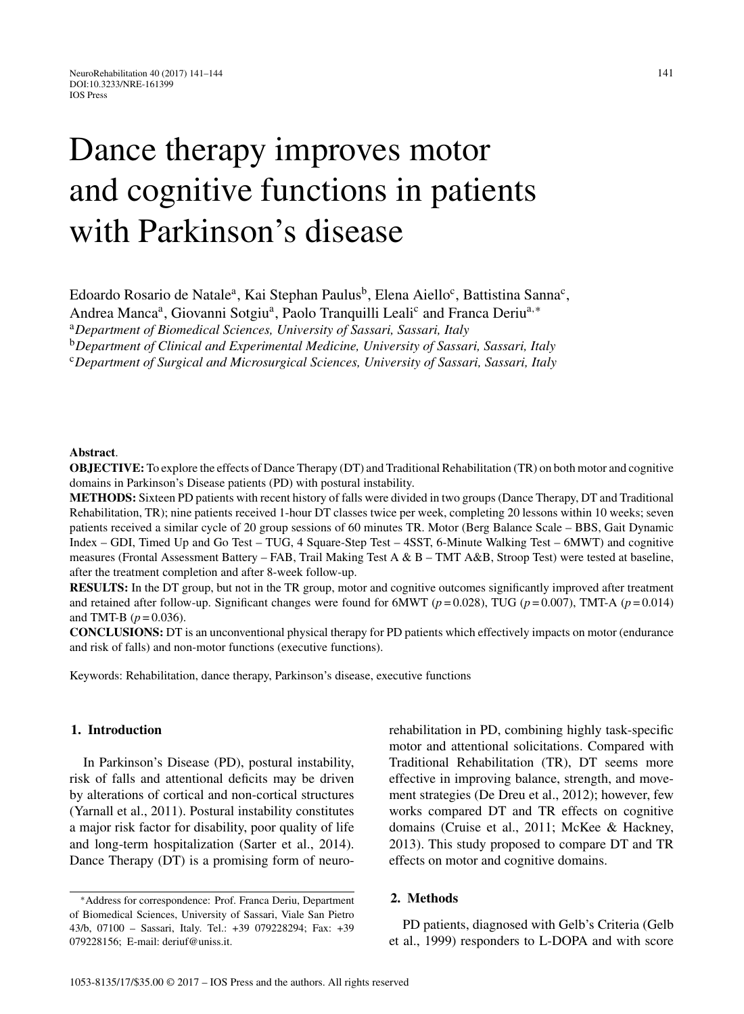# Dance therapy improves motor and cognitive functions in patients with Parkinson's disease

Edoardo Rosario de Natale<sup>a</sup>, Kai Stephan Paulus<sup>b</sup>, Elena Aiello<sup>c</sup>, Battistina Sanna<sup>c</sup>,

Andrea Manca<sup>a</sup>, Giovanni Sotgiu<sup>a</sup>, Paolo Tranquilli Leali<sup>c</sup> and Franca Deriu<sup>a,∗</sup>

<sup>a</sup>*Department of Biomedical Sciences, University of Sassari, Sassari, Italy*

<sup>b</sup>*Department of Clinical and Experimental Medicine, University of Sassari, Sassari, Italy*

<sup>c</sup>*Department of Surgical and Microsurgical Sciences, University of Sassari, Sassari, Italy*

#### **Abstract**.

**OBJECTIVE:** To explore the effects of Dance Therapy (DT) and Traditional Rehabilitation (TR) on both motor and cognitive domains in Parkinson's Disease patients (PD) with postural instability.

**METHODS:** Sixteen PD patients with recent history of falls were divided in two groups (Dance Therapy, DT and Traditional Rehabilitation, TR); nine patients received 1-hour DT classes twice per week, completing 20 lessons within 10 weeks; seven patients received a similar cycle of 20 group sessions of 60 minutes TR. Motor (Berg Balance Scale – BBS, Gait Dynamic Index – GDI, Timed Up and Go Test – TUG, 4 Square-Step Test – 4SST, 6-Minute Walking Test – 6MWT) and cognitive measures (Frontal Assessment Battery – FAB, Trail Making Test A & B – TMT A&B, Stroop Test) were tested at baseline, after the treatment completion and after 8-week follow-up.

**RESULTS:** In the DT group, but not in the TR group, motor and cognitive outcomes significantly improved after treatment and retained after follow-up. Significant changes were found for 6MWT ( $p = 0.028$ ), TUG ( $p = 0.007$ ), TMT-A ( $p = 0.014$ ) and TMT-B  $(p = 0.036)$ .

**CONCLUSIONS:** DT is an unconventional physical therapy for PD patients which effectively impacts on motor (endurance and risk of falls) and non-motor functions (executive functions).

Keywords: Rehabilitation, dance therapy, Parkinson's disease, executive functions

## **1. Introduction**

In Parkinson's Disease (PD), postural instability, risk of falls and attentional deficits may be driven by alterations of cortical and non-cortical structures (Yarnall et al., 2011). Postural instability constitutes a major risk factor for disability, poor quality of life and long-term hospitalization (Sarter et al., 2014). Dance Therapy (DT) is a promising form of neurorehabilitation in PD, combining highly task-specific motor and attentional solicitations. Compared with Traditional Rehabilitation (TR), DT seems more effective in improving balance, strength, and movement strategies (De Dreu et al., 2012); however, few works compared DT and TR effects on cognitive domains (Cruise et al., 2011; McKee & Hackney, 2013). This study proposed to compare DT and TR effects on motor and cognitive domains.

#### **2. Methods**

PD patients, diagnosed with Gelb's Criteria (Gelb et al., 1999) responders to L-DOPA and with score

<sup>∗</sup>Address for correspondence: Prof. Franca Deriu, Department of Biomedical Sciences, University of Sassari, Viale San Pietro 43/b, 07100 – Sassari, Italy. Tel.: +39 079228294; Fax: +39 079228156; E-mail: [deriuf@uniss.it](mailto:deriuf@uniss.it).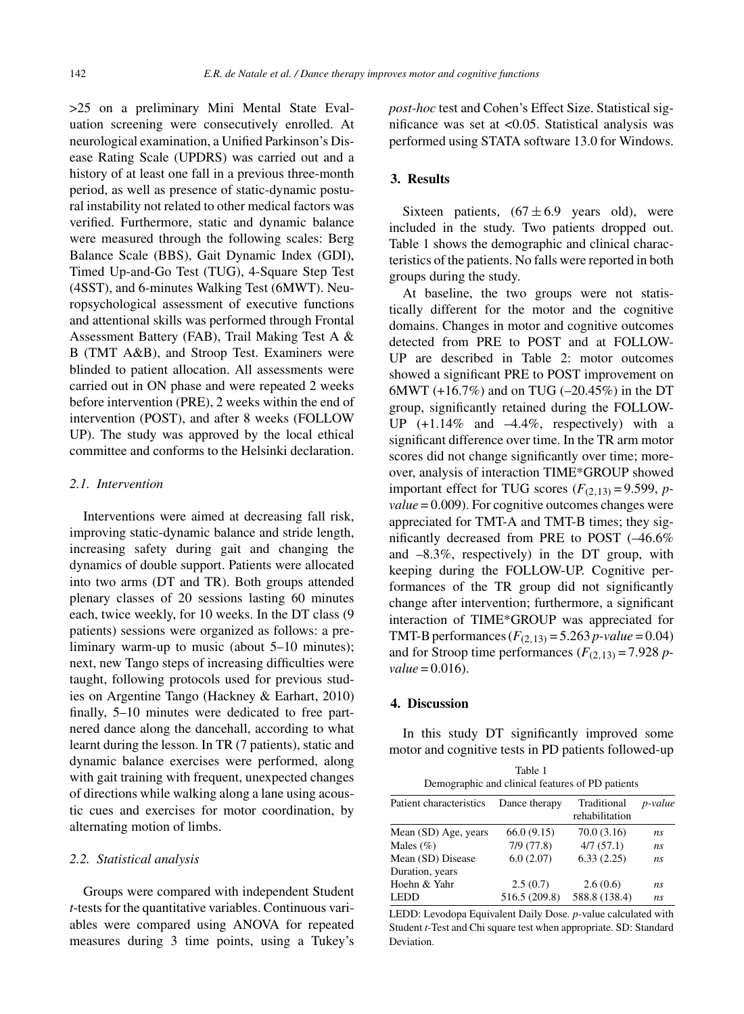>25 on a preliminary Mini Mental State Evaluation screening were consecutively enrolled. At neurological examination, a Unified Parkinson's Disease Rating Scale (UPDRS) was carried out and a history of at least one fall in a previous three-month period, as well as presence of static-dynamic postural instability not related to other medical factors was verified. Furthermore, static and dynamic balance were measured through the following scales: Berg Balance Scale (BBS), Gait Dynamic Index (GDI), Timed Up-and-Go Test (TUG), 4-Square Step Test (4SST), and 6-minutes Walking Test (6MWT). Neuropsychological assessment of executive functions and attentional skills was performed through Frontal Assessment Battery (FAB), Trail Making Test A & B (TMT A&B), and Stroop Test. Examiners were blinded to patient allocation. All assessments were carried out in ON phase and were repeated 2 weeks before intervention (PRE), 2 weeks within the end of intervention (POST), and after 8 weeks (FOLLOW UP). The study was approved by the local ethical committee and conforms to the Helsinki declaration.

## *2.1. Intervention*

Interventions were aimed at decreasing fall risk, improving static-dynamic balance and stride length, increasing safety during gait and changing the dynamics of double support. Patients were allocated into two arms (DT and TR). Both groups attended plenary classes of 20 sessions lasting 60 minutes each, twice weekly, for 10 weeks. In the DT class (9 patients) sessions were organized as follows: a preliminary warm-up to music (about 5–10 minutes); next, new Tango steps of increasing difficulties were taught, following protocols used for previous studies on Argentine Tango (Hackney & Earhart, 2010) finally, 5–10 minutes were dedicated to free partnered dance along the dancehall, according to what learnt during the lesson. In TR (7 patients), static and dynamic balance exercises were performed, along with gait training with frequent, unexpected changes of directions while walking along a lane using acoustic cues and exercises for motor coordination, by alternating motion of limbs.

## *2.2. Statistical analysis*

Groups were compared with independent Student *t*-tests for the quantitative variables. Continuous variables were compared using ANOVA for repeated measures during 3 time points, using a Tukey's *post-hoc* test and Cohen's Effect Size. Statistical significance was set at <0.05. Statistical analysis was performed using STATA software 13.0 for Windows.

#### **3. Results**

Sixteen patients,  $(67 \pm 6.9)$  years old), were included in the study. Two patients dropped out. Table 1 shows the demographic and clinical characteristics of the patients. No falls were reported in both groups during the study.

At baseline, the two groups were not statistically different for the motor and the cognitive domains. Changes in motor and cognitive outcomes detected from PRE to POST and at FOLLOW-UP are described in Table 2: motor outcomes showed a significant PRE to POST improvement on 6MWT (+16.7%) and on TUG (–20.45%) in the DT group, significantly retained during the FOLLOW-UP  $(+1.14\%$  and  $-4.4\%$ , respectively) with a significant difference over time. In the TR arm motor scores did not change significantly over time; moreover, analysis of interaction TIME\*GROUP showed important effect for TUG scores  $(F_{(2,13)} = 9.599, p$ *value* = 0.009). For cognitive outcomes changes were appreciated for TMT-A and TMT-B times; they significantly decreased from PRE to POST (–46.6% and –8.3%, respectively) in the DT group, with keeping during the FOLLOW-UP. Cognitive performances of the TR group did not significantly change after intervention; furthermore, a significant interaction of TIME\*GROUP was appreciated for TMT-B performances  $(F_{(2,13)} = 5.263 \, p \text{-} value = 0.04)$ and for Stroop time performances  $(F_{(2,13)} = 7.928 \text{ p}$  $value = 0.016$ .

## **4. Discussion**

In this study DT significantly improved some motor and cognitive tests in PD patients followed-up

| Table 1                                          |
|--------------------------------------------------|
| Demographic and clinical features of PD patients |

| Patient characteristics | Dance therapy | Traditional<br>rehabilitation | p-value        |  |
|-------------------------|---------------|-------------------------------|----------------|--|
| Mean (SD) Age, years    | 66.0(9.15)    | 70.0(3.16)                    | ns             |  |
| Males $(\% )$           | 7/9(77.8)     | 4/7(57.1)                     | ns             |  |
| Mean (SD) Disease       | 6.0(2.07)     | 6.33(2.25)                    | n <sub>s</sub> |  |
| Duration, years         |               |                               |                |  |
| Hoehn & Yahr            | 2.5(0.7)      | 2.6(0.6)                      | ns             |  |
| <b>LEDD</b>             | 516.5 (209.8) | 588.8 (138.4)                 | n <sub>s</sub> |  |

LEDD: Levodopa Equivalent Daily Dose*. p-*value calculated with Student *t-*Test and Chi square test when appropriate. SD: Standard Deviation.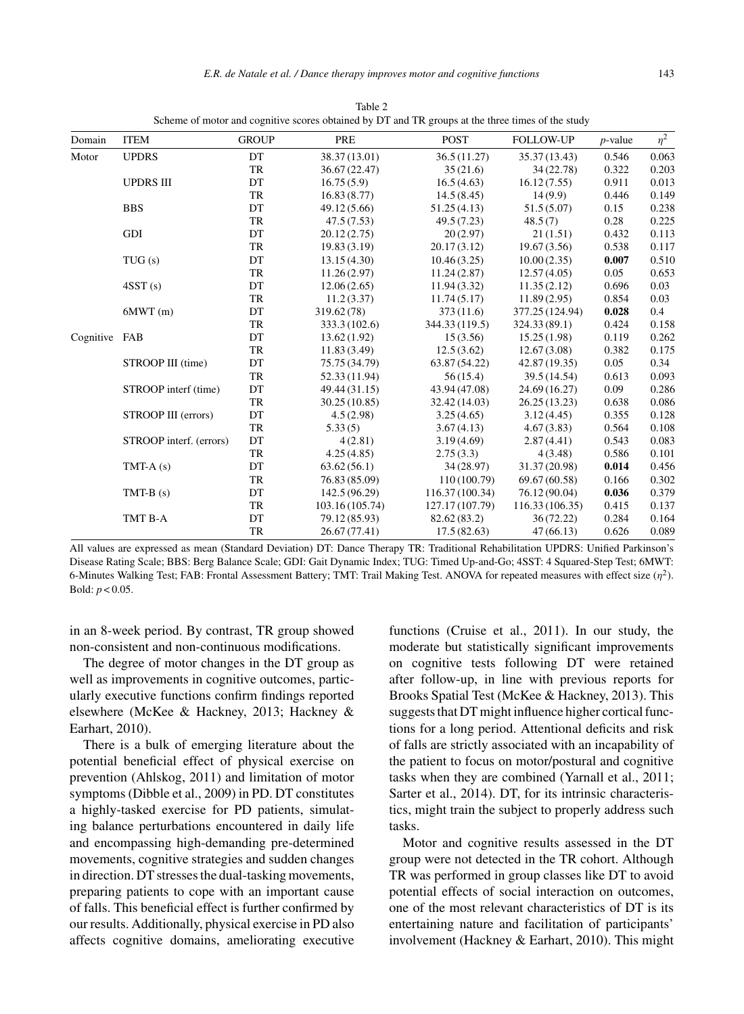| Domain        | <b>ITEM</b>             | <b>GROUP</b> | PRE             | <b>POST</b>     | <b>FOLLOW-UP</b> | $p$ -value | $\eta^2$ |
|---------------|-------------------------|--------------|-----------------|-----------------|------------------|------------|----------|
| Motor         | <b>UPDRS</b>            | DT           | 38.37(13.01)    | 36.5(11.27)     | 35.37 (13.43)    | 0.546      | 0.063    |
|               |                         | TR           | 36.67(22.47)    | 35(21.6)        | 34(22.78)        | 0.322      | 0.203    |
|               | <b>UPDRS III</b>        | DT           | 16.75(5.9)      | 16.5(4.63)      | 16.12(7.55)      | 0.911      | 0.013    |
|               |                         | TR           | 16.83(8.77)     | 14.5(8.45)      | 14(9.9)          | 0.446      | 0.149    |
|               | <b>BBS</b>              | DT           | 49.12 (5.66)    | 51.25(4.13)     | 51.5(5.07)       | 0.15       | 0.238    |
|               |                         | TR           | 47.5(7.53)      | 49.5 (7.23)     | 48.5(7)          | 0.28       | 0.225    |
|               | GDI                     | DT           | 20.12(2.75)     | 20(2.97)        | 21(1.51)         | 0.432      | 0.113    |
|               |                         | TR           | 19.83(3.19)     | 20.17(3.12)     | 19.67(3.56)      | 0.538      | 0.117    |
|               | TUG(s)                  | DT           | 13.15(4.30)     | 10.46(3.25)     | 10.00(2.35)      | 0.007      | 0.510    |
|               |                         | TR           | 11.26(2.97)     | 11.24(2.87)     | 12.57(4.05)      | 0.05       | 0.653    |
|               | 4SST(s)                 | DT           | 12.06(2.65)     | 11.94(3.32)     | 11.35(2.12)      | 0.696      | 0.03     |
|               |                         | TR           | 11.2(3.37)      | 11.74(5.17)     | 11.89(2.95)      | 0.854      | 0.03     |
|               | 6MWT(m)                 | DT           | 319.62 (78)     | 373(11.6)       | 377.25 (124.94)  | 0.028      | 0.4      |
|               |                         | TR           | 333.3(102.6)    | 344.33 (119.5)  | 324.33(89.1)     | 0.424      | 0.158    |
| Cognitive FAB |                         | DT           | 13.62(1.92)     | 15(3.56)        | 15.25(1.98)      | 0.119      | 0.262    |
|               |                         | <b>TR</b>    | 11.83(3.49)     | 12.5(3.62)      | 12.67(3.08)      | 0.382      | 0.175    |
|               | STROOP III (time)       | DT           | 75.75 (34.79)   | 63.87 (54.22)   | 42.87 (19.35)    | 0.05       | 0.34     |
|               |                         | TR           | 52.33 (11.94)   | 56(15.4)        | 39.5 (14.54)     | 0.613      | 0.093    |
|               | STROOP interf (time)    | DT           | 49.44 (31.15)   | 43.94 (47.08)   | 24.69 (16.27)    | 0.09       | 0.286    |
|               |                         | TR           | 30.25(10.85)    | 32.42 (14.03)   | 26.25(13.23)     | 0.638      | 0.086    |
|               | STROOP III (errors)     | DT           | 4.5(2.98)       | 3.25(4.65)      | 3.12(4.45)       | 0.355      | 0.128    |
|               |                         | TR           | 5.33(5)         | 3.67(4.13)      | 4.67(3.83)       | 0.564      | 0.108    |
|               | STROOP interf. (errors) | DT           | 4(2.81)         | 3.19(4.69)      | 2.87(4.41)       | 0.543      | 0.083    |
|               |                         | TR           | 4.25(4.85)      | 2.75(3.3)       | 4(3.48)          | 0.586      | 0.101    |
|               | TMT-A $(s)$             | DT           | 63.62(56.1)     | 34(28.97)       | 31.37 (20.98)    | 0.014      | 0.456    |
|               |                         | TR           | 76.83 (85.09)   | 110(100.79)     | 69.67 (60.58)    | 0.166      | 0.302    |
|               | $TMT-B(s)$              | DT           | 142.5(96.29)    | 116.37 (100.34) | 76.12 (90.04)    | 0.036      | 0.379    |
|               |                         | TR           | 103.16 (105.74) | 127.17 (107.79) | 116.33 (106.35)  | 0.415      | 0.137    |
|               | TMT B-A                 | DT           | 79.12 (85.93)   | 82.62 (83.2)    | 36(72.22)        | 0.284      | 0.164    |

Table 2 Scheme of motor and cognitive scores obtained by DT and TR groups at the three times of the study

All values are expressed as mean (Standard Deviation) DT: Dance Therapy TR: Traditional Rehabilitation UPDRS: Unified Parkinson's Disease Rating Scale; BBS: Berg Balance Scale; GDI: Gait Dynamic Index; TUG: Timed Up-and-Go; 4SST: 4 Squared-Step Test; 6MWT: 6-Minutes Walking Test; FAB: Frontal Assessment Battery; TMT: Trail Making Test. ANOVA for repeated measures with effect size  $(\eta^2)$ . Bold: *p* < 0.05.

TR 26.67 (77.41) 17.5 (82.63) 47 (66.13) 0.626 0.089

in an 8-week period. By contrast, TR group showed non-consistent and non-continuous modifications.

The degree of motor changes in the DT group as well as improvements in cognitive outcomes, particularly executive functions confirm findings reported elsewhere (McKee & Hackney, 2013; Hackney & Earhart, 2010).

There is a bulk of emerging literature about the potential beneficial effect of physical exercise on prevention (Ahlskog, 2011) and limitation of motor symptoms (Dibble et al., 2009) in PD. DT constitutes a highly-tasked exercise for PD patients, simulating balance perturbations encountered in daily life and encompassing high-demanding pre-determined movements, cognitive strategies and sudden changes in direction. DT stresses the dual-tasking movements, preparing patients to cope with an important cause of falls. This beneficial effect is further confirmed by our results. Additionally, physical exercise in PD also affects cognitive domains, ameliorating executive

functions (Cruise et al., 2011). In our study, the moderate but statistically significant improvements on cognitive tests following DT were retained after follow-up, in line with previous reports for Brooks Spatial Test (McKee & Hackney, 2013). This suggests that DT might influence higher cortical functions for a long period. Attentional deficits and risk of falls are strictly associated with an incapability of the patient to focus on motor/postural and cognitive tasks when they are combined (Yarnall et al., 2011; Sarter et al., 2014). DT, for its intrinsic characteristics, might train the subject to properly address such tasks.

Motor and cognitive results assessed in the DT group were not detected in the TR cohort. Although TR was performed in group classes like DT to avoid potential effects of social interaction on outcomes, one of the most relevant characteristics of DT is its entertaining nature and facilitation of participants' involvement (Hackney & Earhart, 2010). This might